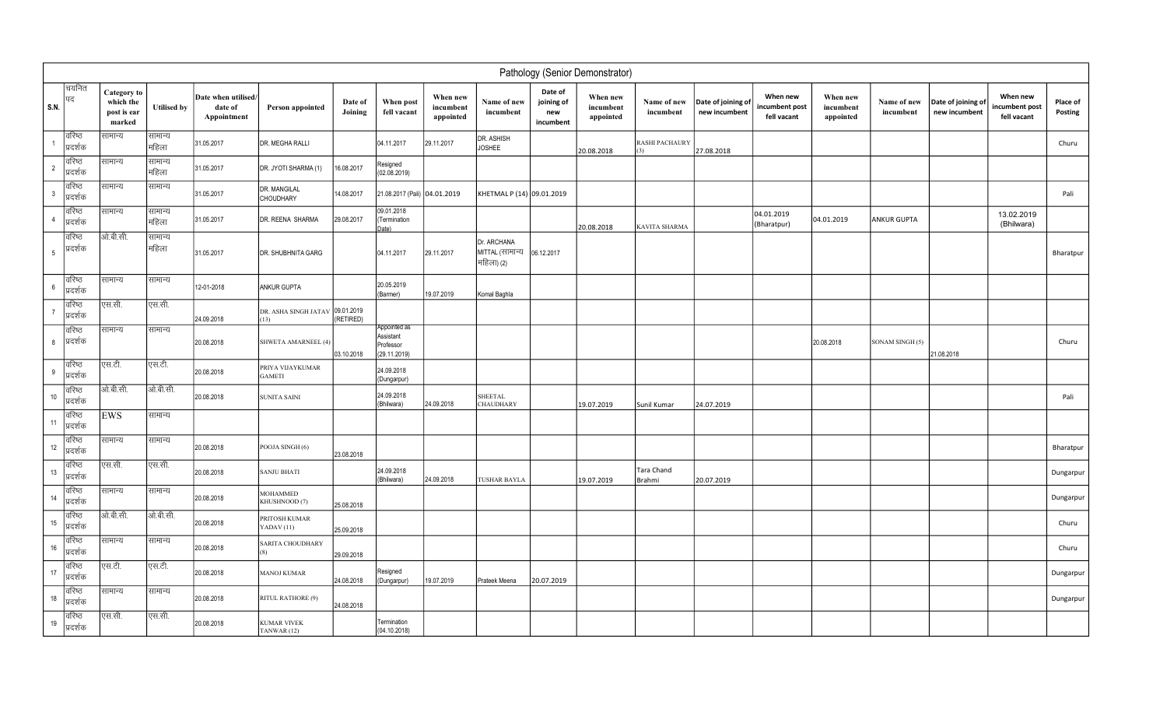|                 | Pathology (Senior Demonstrator) |                                                          |                    |                                               |                                         |                    |                                                        |                                    |                                              |                                           |                                                              |                              |                                     |                                          |                                    |                          |                                     |                                           |                     |
|-----------------|---------------------------------|----------------------------------------------------------|--------------------|-----------------------------------------------|-----------------------------------------|--------------------|--------------------------------------------------------|------------------------------------|----------------------------------------------|-------------------------------------------|--------------------------------------------------------------|------------------------------|-------------------------------------|------------------------------------------|------------------------------------|--------------------------|-------------------------------------|-------------------------------------------|---------------------|
| $ $ S.N.        | चयनित<br> पद                    | <b>Category</b> to<br>which the<br>post is ear<br>marked | <b>Utilised by</b> | Date when utilised/<br>date of<br>Appointment | Person appointed                        | Date of<br>Joining | When post<br>fell vacant                               | When new<br>incumbent<br>appointed | Name of new<br>incumbent                     | Date of<br>joining of<br>new<br>incumbent | When new<br>incumbent<br>$\boldsymbol{ \mathrm{appointed} }$ | Name of new<br>incumbent     | Date of joining of<br>new incumbent | When new<br>ncumbent post<br>fell vacant | When new<br>incumbent<br>appointed | Name of new<br>incumbent | Date of joining of<br>new incumbent | When new<br>incumbent post<br>fell vacant | Place of<br>Posting |
|                 | वरिष्ठ<br>प्रदर्शक              | सामान्य                                                  | सामान्य<br>महिला   | 31.05.2017                                    | DR. MEGHA RALLI                         |                    | 04.11.2017                                             | 29.11.2017                         | DR. ASHISH<br><b>JOSHEE</b>                  |                                           | 20.08.2018                                                   | <b>RASHI PACHAURY</b><br>(3) | 27.08.2018                          |                                          |                                    |                          |                                     |                                           | Churu               |
| $\overline{2}$  | वरिष्ठ<br>प्रदर्शक              | सामान्य                                                  | सामान्य<br>महिला   | 31.05.2017                                    | DR. JYOTI SHARMA (1)                    | 16.08.2017         | Resigned<br>(02.08.2019)                               |                                    |                                              |                                           |                                                              |                              |                                     |                                          |                                    |                          |                                     |                                           |                     |
| $\mathbf{3}$    | वरिष्ठ<br>प्रदर्शक              | सामान्य                                                  | सामान्य            | 31.05.2017                                    | DR. MANGILAL<br>CHOUDHARY               | 14.08.2017         | 21.08.2017 (Pali)                                      | 04.01.2019                         | KHETMAL P (14) 09.01.2019                    |                                           |                                                              |                              |                                     |                                          |                                    |                          |                                     |                                           | Pali                |
| $\overline{4}$  | वरिष्ठ<br>प्रदर्शक              | सामान्य                                                  | सामान्य<br>महिला   | 31.05.2017                                    | DR. REENA SHARMA                        | 29.08.2017         | 09.01.2018<br>(Termination<br>Date)                    |                                    |                                              |                                           | 20.08.2018                                                   | <b>KAVITA SHARMA</b>         |                                     | 04.01.2019<br>(Bharatpur)                | 04.01.2019                         | ANKUR GUPTA              |                                     | 13.02.2019<br>(Bhilwara)                  |                     |
| $5\phantom{.0}$ | वरिष्ठ<br>प्रदर्शक              | ओ.बी.सी.                                                 | सामान्य<br>महिला   | 31.05.2017                                    | DR. SHUBHNITA GARG                      |                    | 04.11.2017                                             | 29.11.2017                         | Dr. ARCHANA<br>MITTAL (सामान्य<br>महिला) (2) | 06.12.2017                                |                                                              |                              |                                     |                                          |                                    |                          |                                     |                                           | Bharatpur           |
| 6               | वरिष्ठ<br>प्रदर्शक              | सामान्य                                                  | सामान्य            | 12-01-2018                                    | ANKUR GUPTA                             |                    | 20.05.2019<br>(Barmer)                                 | 19.07.2019                         | Komal Baghla                                 |                                           |                                                              |                              |                                     |                                          |                                    |                          |                                     |                                           |                     |
| $\overline{7}$  | वरिष्ठ<br>प्रदर्शक              | एस.सी.                                                   | एस.सी.             | 24.09.2018                                    | DR. ASHA SINGH JATAV 09.01.2019<br>(13) | (RETIRED)          |                                                        |                                    |                                              |                                           |                                                              |                              |                                     |                                          |                                    |                          |                                     |                                           |                     |
| 8               | वरिष्ठ<br>प्रिदर्शक             | सामान्य                                                  | सामान्य            | 20.08.2018                                    | SHWETA AMARNEEL (4)                     | 03.10.2018         | Appointed as<br>Assistant<br>Professor<br>(29.11.2019) |                                    |                                              |                                           |                                                              |                              |                                     |                                          | 20.08.2018                         | SONAM SINGH (5)          | 21.08.2018                          |                                           | Churu               |
| 9               | वरिष्ठ<br>प्रदर्शक              | एस.टी.                                                   | एस.टी.             | 20.08.2018                                    | PRIYA VIJAYKUMAR<br><b>GAMETI</b>       |                    | 24.09.2018<br>(Dungarpur)                              |                                    |                                              |                                           |                                                              |                              |                                     |                                          |                                    |                          |                                     |                                           |                     |
| 10              | <b>बरिष्ठ</b><br>प्रदर्शक       | ओ.बी.सी.                                                 | ओ.बी.सी.           | 20.08.2018                                    | <b>SUNITA SAINI</b>                     |                    | 24.09.2018<br>(Bhilwara)                               | 24.09.2018                         | <b>SHEETAL</b><br><b>CHAUDHARY</b>           |                                           | 19.07.2019                                                   | Sunil Kumar                  | 24.07.2019                          |                                          |                                    |                          |                                     |                                           | Pali                |
| 11              | <b>बरिष्ठ</b><br> प्रदर्शक      | EWS                                                      | सामान्य            |                                               |                                         |                    |                                                        |                                    |                                              |                                           |                                                              |                              |                                     |                                          |                                    |                          |                                     |                                           |                     |
| 12              | वरिष्ठ<br>प्रदर्शक              | सामान्य                                                  | सामान्य            | 20.08.2018                                    | POOJA SINGH (6)                         | 23.08.2018         |                                                        |                                    |                                              |                                           |                                                              |                              |                                     |                                          |                                    |                          |                                     |                                           | Bharatpur           |
| 13              | <b>बरिष्ठ</b><br> प्रदर्शक      | एस.सी.                                                   | एस.सी.             | 20.08.2018                                    | <b>SANJU BHATI</b>                      |                    | 24.09.2018<br>(Bhilwara)                               | 24.09.2018                         | TUSHAR BAYLA                                 |                                           | 19.07.2019                                                   | Tara Chand<br>Brahmi         | 20.07.2019                          |                                          |                                    |                          |                                     |                                           | Dungarpur           |
| 14              | बरिष्ठ<br>प्रदर्शक              | सामान्य                                                  | सामान्य            | 20.08.2018                                    | MOHAMMED<br>KHUSHNOOD (7)               | 25.08.2018         |                                                        |                                    |                                              |                                           |                                                              |                              |                                     |                                          |                                    |                          |                                     |                                           | Dungarpur           |
| 15              | वरिष्ठ<br>प्रदर्शक              | ओ.बी.सी.                                                 | ओ.बी.सी.           | 20.08.2018                                    | PRITOSH KUMAR<br>YADAV <sub>(11)</sub>  | 25.09.2018         |                                                        |                                    |                                              |                                           |                                                              |                              |                                     |                                          |                                    |                          |                                     |                                           | Churu               |
| 16              | विरिष्ठ<br>प्रदर्शक             | सामान्य                                                  | सामान्य            | 20.08.2018                                    | SARITA CHOUDHARY<br>(8)                 | 29.09.2018         |                                                        |                                    |                                              |                                           |                                                              |                              |                                     |                                          |                                    |                          |                                     |                                           | Churu               |
| 17              | वरिष्ठ<br> प्रदर्शक             | एस.टी.                                                   | एस.टी.             | 20.08.2018                                    | <b>MANOJ KUMAR</b>                      | 24.08.2018         | Resigned<br>(Dungarpur)                                | 19.07.2019                         | Prateek Meena                                | 20.07.2019                                |                                                              |                              |                                     |                                          |                                    |                          |                                     |                                           | Dungarpur           |
| $18\,$          | विरिष्ठ<br>प्रदर्शक             | सामान्य                                                  | सामान्य            | 20.08.2018                                    | RITUL RATHORE (9)                       | 24.08.2018         |                                                        |                                    |                                              |                                           |                                                              |                              |                                     |                                          |                                    |                          |                                     |                                           | Dungarpur           |
| 19              | वरिष्ठ<br>प्रदर्शक              | एस.सी.                                                   | एस.सी.             | 20.08.2018                                    | <b>KUMAR VIVEK</b><br>TANWAR (12)       |                    | Termination<br>(04.10.2018)                            |                                    |                                              |                                           |                                                              |                              |                                     |                                          |                                    |                          |                                     |                                           |                     |